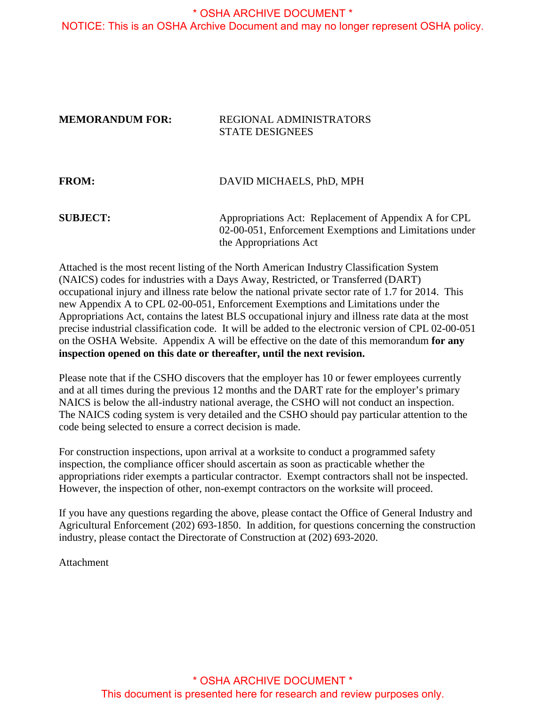#### \* OSHA ARCHIVE DOCUMENT \* NOTICE: This is an OSHA Archive Document and may no longer represent OSHA policy.

#### **MEMORANDUM FOR:** REGIONAL ADMINISTRATORS STATE DESIGNEES

| <b>FROM:</b>    | DAVID MICHAELS, PhD, MPH                                                                                         |
|-----------------|------------------------------------------------------------------------------------------------------------------|
| <b>SUBJECT:</b> | Appropriations Act: Replacement of Appendix A for CPL<br>02-00-051, Enforcement Exemptions and Limitations under |
|                 | the Appropriations Act                                                                                           |

Attached is the most recent listing of the North American Industry Classification System (NAICS) codes for industries with a Days Away, Restricted, or Transferred (DART) occupational injury and illness rate below the national private sector rate of 1.7 for 2014. This new Appendix A to CPL 02-00-051, Enforcement Exemptions and Limitations under the Appropriations Act, contains the latest BLS occupational injury and illness rate data at the most precise industrial classification code. It will be added to the electronic version of CPL 02-00-051 on the OSHA Website. Appendix A will be effective on the date of this memorandum **for any inspection opened on this date or thereafter, until the next revision.**

Please note that if the CSHO discovers that the employer has 10 or fewer employees currently and at all times during the previous 12 months and the DART rate for the employer's primary NAICS is below the all-industry national average, the CSHO will not conduct an inspection. The NAICS coding system is very detailed and the CSHO should pay particular attention to the code being selected to ensure a correct decision is made.

For construction inspections, upon arrival at a worksite to conduct a programmed safety inspection, the compliance officer should ascertain as soon as practicable whether the appropriations rider exempts a particular contractor. Exempt contractors shall not be inspected. However, the inspection of other, non-exempt contractors on the worksite will proceed.

If you have any questions regarding the above, please contact the Office of General Industry and Agricultural Enforcement (202) 693-1850. In addition, for questions concerning the construction industry, please contact the Directorate of Construction at (202) 693-2020.

Attachment

\* OSHA ARCHIVE DOCUMENT \* This document is presented here for research and review purposes only.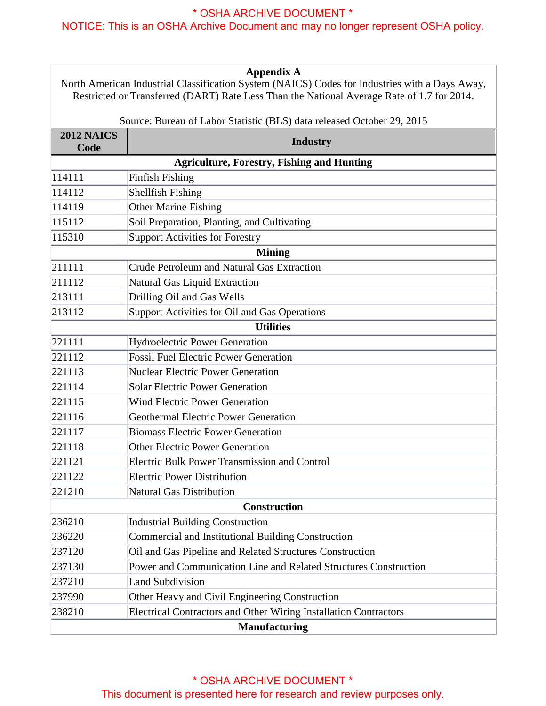| <b>Appendix A</b><br>North American Industrial Classification System (NAICS) Codes for Industries with a Days Away,<br>Restricted or Transferred (DART) Rate Less Than the National Average Rate of 1.7 for 2014. |                                                                        |
|-------------------------------------------------------------------------------------------------------------------------------------------------------------------------------------------------------------------|------------------------------------------------------------------------|
|                                                                                                                                                                                                                   | Source: Bureau of Labor Statistic (BLS) data released October 29, 2015 |
| <b>2012 NAICS</b><br>Code                                                                                                                                                                                         | <b>Industry</b>                                                        |
|                                                                                                                                                                                                                   | <b>Agriculture, Forestry, Fishing and Hunting</b>                      |
| 114111                                                                                                                                                                                                            | Finfish Fishing                                                        |
| 114112                                                                                                                                                                                                            | Shellfish Fishing                                                      |
| 114119                                                                                                                                                                                                            | Other Marine Fishing                                                   |
| 115112                                                                                                                                                                                                            | Soil Preparation, Planting, and Cultivating                            |
| 115310                                                                                                                                                                                                            | Support Activities for Forestry                                        |
|                                                                                                                                                                                                                   | <b>Mining</b>                                                          |
| 211111                                                                                                                                                                                                            | Crude Petroleum and Natural Gas Extraction                             |
| 211112                                                                                                                                                                                                            | Natural Gas Liquid Extraction                                          |
| 213111                                                                                                                                                                                                            | Drilling Oil and Gas Wells                                             |
| 213112                                                                                                                                                                                                            | Support Activities for Oil and Gas Operations                          |
|                                                                                                                                                                                                                   | <b>Utilities</b>                                                       |
| 221111                                                                                                                                                                                                            | Hydroelectric Power Generation                                         |
| 221112                                                                                                                                                                                                            | <b>Fossil Fuel Electric Power Generation</b>                           |
| 221113                                                                                                                                                                                                            | <b>Nuclear Electric Power Generation</b>                               |
| 221114                                                                                                                                                                                                            | <b>Solar Electric Power Generation</b>                                 |
| 221115                                                                                                                                                                                                            | <b>Wind Electric Power Generation</b>                                  |
| 221116                                                                                                                                                                                                            | Geothermal Electric Power Generation                                   |
| 221117                                                                                                                                                                                                            | <b>Biomass Electric Power Generation</b>                               |
| 221118                                                                                                                                                                                                            | <b>Other Electric Power Generation</b>                                 |
| 221121                                                                                                                                                                                                            | <b>Electric Bulk Power Transmission and Control</b>                    |
| 221122                                                                                                                                                                                                            | <b>Electric Power Distribution</b>                                     |
| 221210                                                                                                                                                                                                            | Natural Gas Distribution                                               |
|                                                                                                                                                                                                                   | <b>Construction</b>                                                    |
| 236210                                                                                                                                                                                                            | <b>Industrial Building Construction</b>                                |
| 236220                                                                                                                                                                                                            | Commercial and Institutional Building Construction                     |
| 237120                                                                                                                                                                                                            | Oil and Gas Pipeline and Related Structures Construction               |
| 237130                                                                                                                                                                                                            | Power and Communication Line and Related Structures Construction       |
| 237210                                                                                                                                                                                                            | <b>Land Subdivision</b>                                                |
| 237990                                                                                                                                                                                                            | Other Heavy and Civil Engineering Construction                         |
| 238210                                                                                                                                                                                                            | Electrical Contractors and Other Wiring Installation Contractors       |
| Manufacturing                                                                                                                                                                                                     |                                                                        |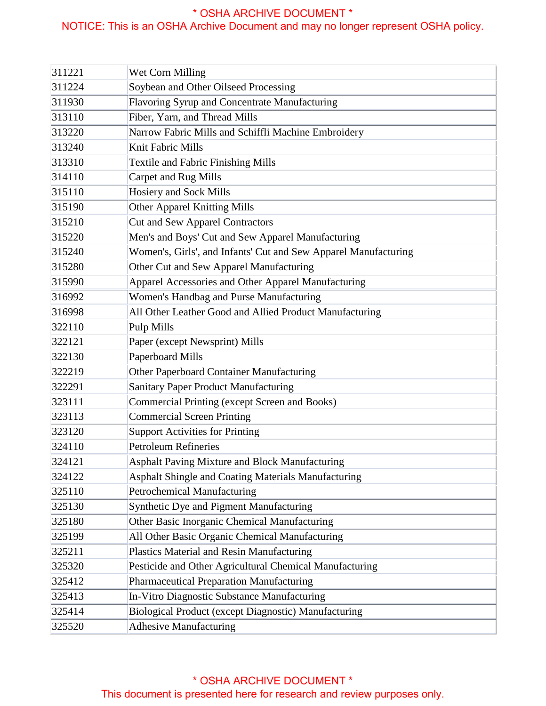| 311221 | Wet Corn Milling                                                |
|--------|-----------------------------------------------------------------|
| 311224 | Soybean and Other Oilseed Processing                            |
| 311930 | Flavoring Syrup and Concentrate Manufacturing                   |
| 313110 | Fiber, Yarn, and Thread Mills                                   |
| 313220 | Narrow Fabric Mills and Schiffli Machine Embroidery             |
| 313240 | Knit Fabric Mills                                               |
| 313310 | <b>Textile and Fabric Finishing Mills</b>                       |
| 314110 | Carpet and Rug Mills                                            |
| 315110 | Hosiery and Sock Mills                                          |
| 315190 | Other Apparel Knitting Mills                                    |
| 315210 | <b>Cut and Sew Apparel Contractors</b>                          |
| 315220 | Men's and Boys' Cut and Sew Apparel Manufacturing               |
| 315240 | Women's, Girls', and Infants' Cut and Sew Apparel Manufacturing |
| 315280 | Other Cut and Sew Apparel Manufacturing                         |
| 315990 | Apparel Accessories and Other Apparel Manufacturing             |
| 316992 | Women's Handbag and Purse Manufacturing                         |
| 316998 | All Other Leather Good and Allied Product Manufacturing         |
| 322110 | Pulp Mills                                                      |
| 322121 | Paper (except Newsprint) Mills                                  |
| 322130 | Paperboard Mills                                                |
| 322219 | Other Paperboard Container Manufacturing                        |
| 322291 | Sanitary Paper Product Manufacturing                            |
| 323111 | Commercial Printing (except Screen and Books)                   |
| 323113 | <b>Commercial Screen Printing</b>                               |
| 323120 | Support Activities for Printing                                 |
| 324110 | Petroleum Refineries                                            |
| 324121 | Asphalt Paving Mixture and Block Manufacturing                  |
| 324122 | Asphalt Shingle and Coating Materials Manufacturing             |
| 325110 | Petrochemical Manufacturing                                     |
| 325130 | Synthetic Dye and Pigment Manufacturing                         |
| 325180 | Other Basic Inorganic Chemical Manufacturing                    |
| 325199 | All Other Basic Organic Chemical Manufacturing                  |
| 325211 | Plastics Material and Resin Manufacturing                       |
| 325320 | Pesticide and Other Agricultural Chemical Manufacturing         |
| 325412 | Pharmaceutical Preparation Manufacturing                        |
| 325413 | In-Vitro Diagnostic Substance Manufacturing                     |
| 325414 | Biological Product (except Diagnostic) Manufacturing            |
| 325520 | <b>Adhesive Manufacturing</b>                                   |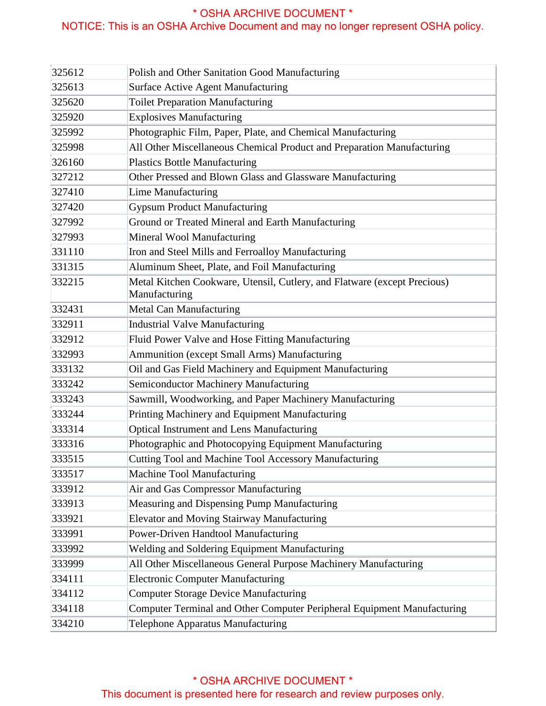| 325612 | Polish and Other Sanitation Good Manufacturing                           |
|--------|--------------------------------------------------------------------------|
| 325613 | Surface Active Agent Manufacturing                                       |
| 325620 | <b>Toilet Preparation Manufacturing</b>                                  |
| 325920 | <b>Explosives Manufacturing</b>                                          |
| 325992 | Photographic Film, Paper, Plate, and Chemical Manufacturing              |
| 325998 | All Other Miscellaneous Chemical Product and Preparation Manufacturing   |
| 326160 | <b>Plastics Bottle Manufacturing</b>                                     |
| 327212 | Other Pressed and Blown Glass and Glassware Manufacturing                |
| 327410 | Lime Manufacturing                                                       |
| 327420 | <b>Gypsum Product Manufacturing</b>                                      |
| 327992 | Ground or Treated Mineral and Earth Manufacturing                        |
| 327993 | Mineral Wool Manufacturing                                               |
| 331110 | Iron and Steel Mills and Ferroalloy Manufacturing                        |
| 331315 | Aluminum Sheet, Plate, and Foil Manufacturing                            |
| 332215 | Metal Kitchen Cookware, Utensil, Cutlery, and Flatware (except Precious) |
|        | Manufacturing                                                            |
| 332431 | Metal Can Manufacturing                                                  |
| 332911 | Industrial Valve Manufacturing                                           |
| 332912 | Fluid Power Valve and Hose Fitting Manufacturing                         |
| 332993 | Ammunition (except Small Arms) Manufacturing                             |
| 333132 | Oil and Gas Field Machinery and Equipment Manufacturing                  |
| 333242 | Semiconductor Machinery Manufacturing                                    |
| 333243 | Sawmill, Woodworking, and Paper Machinery Manufacturing                  |
| 333244 | Printing Machinery and Equipment Manufacturing                           |
| 333314 | Optical Instrument and Lens Manufacturing                                |
| 333316 | Photographic and Photocopying Equipment Manufacturing                    |
| 333515 | Cutting Tool and Machine Tool Accessory Manufacturing                    |
| 333517 | Machine Tool Manufacturing                                               |
| 333912 | Air and Gas Compressor Manufacturing                                     |
| 333913 | Measuring and Dispensing Pump Manufacturing                              |
| 333921 | Elevator and Moving Stairway Manufacturing                               |
| 333991 | Power-Driven Handtool Manufacturing                                      |
| 333992 | Welding and Soldering Equipment Manufacturing                            |
| 333999 | All Other Miscellaneous General Purpose Machinery Manufacturing          |
| 334111 | <b>Electronic Computer Manufacturing</b>                                 |
| 334112 | <b>Computer Storage Device Manufacturing</b>                             |
| 334118 | Computer Terminal and Other Computer Peripheral Equipment Manufacturing  |
| 334210 | Telephone Apparatus Manufacturing                                        |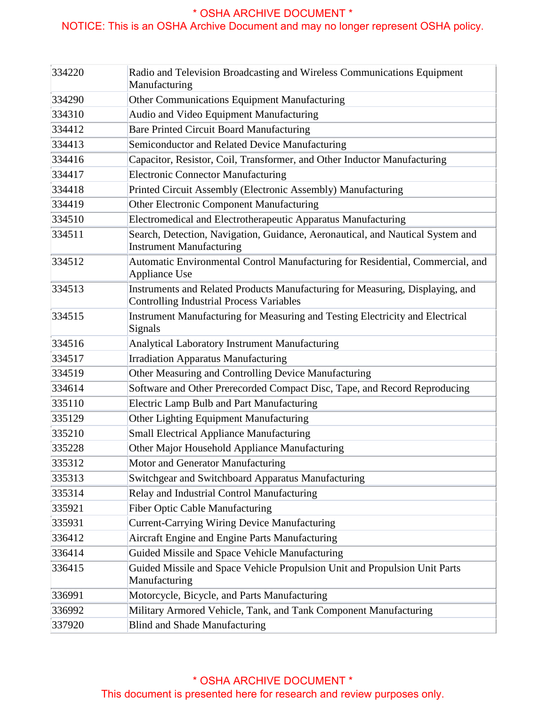| 334220 | Radio and Television Broadcasting and Wireless Communications Equipment<br>Manufacturing                                         |
|--------|----------------------------------------------------------------------------------------------------------------------------------|
| 334290 | Other Communications Equipment Manufacturing                                                                                     |
| 334310 | Audio and Video Equipment Manufacturing                                                                                          |
| 334412 | <b>Bare Printed Circuit Board Manufacturing</b>                                                                                  |
| 334413 | Semiconductor and Related Device Manufacturing                                                                                   |
| 334416 | Capacitor, Resistor, Coil, Transformer, and Other Inductor Manufacturing                                                         |
| 334417 | <b>Electronic Connector Manufacturing</b>                                                                                        |
| 334418 | Printed Circuit Assembly (Electronic Assembly) Manufacturing                                                                     |
| 334419 | Other Electronic Component Manufacturing                                                                                         |
| 334510 | Electromedical and Electrotherapeutic Apparatus Manufacturing                                                                    |
| 334511 | Search, Detection, Navigation, Guidance, Aeronautical, and Nautical System and<br><b>Instrument Manufacturing</b>                |
| 334512 | Automatic Environmental Control Manufacturing for Residential, Commercial, and<br>Appliance Use                                  |
| 334513 | Instruments and Related Products Manufacturing for Measuring, Displaying, and<br><b>Controlling Industrial Process Variables</b> |
| 334515 | Instrument Manufacturing for Measuring and Testing Electricity and Electrical<br>Signals                                         |
| 334516 | Analytical Laboratory Instrument Manufacturing                                                                                   |
| 334517 | <b>Irradiation Apparatus Manufacturing</b>                                                                                       |
| 334519 | Other Measuring and Controlling Device Manufacturing                                                                             |
| 334614 | Software and Other Prerecorded Compact Disc, Tape, and Record Reproducing                                                        |
| 335110 | Electric Lamp Bulb and Part Manufacturing                                                                                        |
| 335129 | Other Lighting Equipment Manufacturing                                                                                           |
| 335210 | Small Electrical Appliance Manufacturing                                                                                         |
| 335228 | Other Major Household Appliance Manufacturing                                                                                    |
| 335312 | Motor and Generator Manufacturing                                                                                                |
| 335313 | Switchgear and Switchboard Apparatus Manufacturing                                                                               |
| 335314 | Relay and Industrial Control Manufacturing                                                                                       |
| 335921 | <b>Fiber Optic Cable Manufacturing</b>                                                                                           |
| 335931 | <b>Current-Carrying Wiring Device Manufacturing</b>                                                                              |
| 336412 | Aircraft Engine and Engine Parts Manufacturing                                                                                   |
| 336414 | Guided Missile and Space Vehicle Manufacturing                                                                                   |
| 336415 | Guided Missile and Space Vehicle Propulsion Unit and Propulsion Unit Parts<br>Manufacturing                                      |
| 336991 | Motorcycle, Bicycle, and Parts Manufacturing                                                                                     |
| 336992 | Military Armored Vehicle, Tank, and Tank Component Manufacturing                                                                 |
| 337920 | <b>Blind and Shade Manufacturing</b>                                                                                             |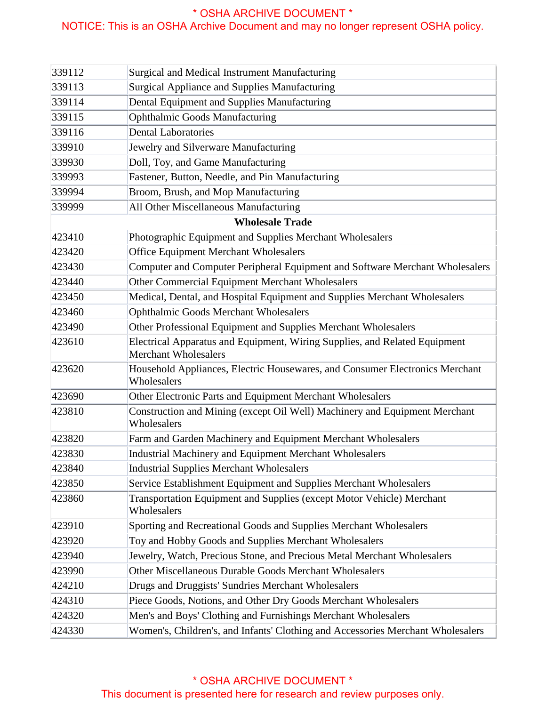## NOTICE: This is an OSHA Archive Document and may no longer represent OSHA policy.

| 339112 | Surgical and Medical Instrument Manufacturing                                                             |
|--------|-----------------------------------------------------------------------------------------------------------|
| 339113 | Surgical Appliance and Supplies Manufacturing                                                             |
| 339114 | Dental Equipment and Supplies Manufacturing                                                               |
| 339115 | <b>Ophthalmic Goods Manufacturing</b>                                                                     |
| 339116 | <b>Dental Laboratories</b>                                                                                |
| 339910 | Jewelry and Silverware Manufacturing                                                                      |
| 339930 | Doll, Toy, and Game Manufacturing                                                                         |
| 339993 | Fastener, Button, Needle, and Pin Manufacturing                                                           |
| 339994 | Broom, Brush, and Mop Manufacturing                                                                       |
| 339999 | All Other Miscellaneous Manufacturing                                                                     |
|        | <b>Wholesale Trade</b>                                                                                    |
| 423410 | Photographic Equipment and Supplies Merchant Wholesalers                                                  |
| 423420 | <b>Office Equipment Merchant Wholesalers</b>                                                              |
| 423430 | Computer and Computer Peripheral Equipment and Software Merchant Wholesalers                              |
| 423440 | Other Commercial Equipment Merchant Wholesalers                                                           |
| 423450 | Medical, Dental, and Hospital Equipment and Supplies Merchant Wholesalers                                 |
| 423460 | <b>Ophthalmic Goods Merchant Wholesalers</b>                                                              |
| 423490 | Other Professional Equipment and Supplies Merchant Wholesalers                                            |
| 423610 | Electrical Apparatus and Equipment, Wiring Supplies, and Related Equipment<br><b>Merchant Wholesalers</b> |
| 423620 | Household Appliances, Electric Housewares, and Consumer Electronics Merchant<br>Wholesalers               |
| 423690 | Other Electronic Parts and Equipment Merchant Wholesalers                                                 |
| 423810 | Construction and Mining (except Oil Well) Machinery and Equipment Merchant<br>Wholesalers                 |
| 423820 | Farm and Garden Machinery and Equipment Merchant Wholesalers                                              |
| 423830 | Industrial Machinery and Equipment Merchant Wholesalers                                                   |
| 423840 | <b>Industrial Supplies Merchant Wholesalers</b>                                                           |
| 423850 | Service Establishment Equipment and Supplies Merchant Wholesalers                                         |
| 423860 | Transportation Equipment and Supplies (except Motor Vehicle) Merchant<br>Wholesalers                      |
| 423910 | Sporting and Recreational Goods and Supplies Merchant Wholesalers                                         |
| 423920 | Toy and Hobby Goods and Supplies Merchant Wholesalers                                                     |
| 423940 | Jewelry, Watch, Precious Stone, and Precious Metal Merchant Wholesalers                                   |
| 423990 | Other Miscellaneous Durable Goods Merchant Wholesalers                                                    |
| 424210 | Drugs and Druggists' Sundries Merchant Wholesalers                                                        |
| 424310 | Piece Goods, Notions, and Other Dry Goods Merchant Wholesalers                                            |
| 424320 | Men's and Boys' Clothing and Furnishings Merchant Wholesalers                                             |
| 424330 | Women's, Children's, and Infants' Clothing and Accessories Merchant Wholesalers                           |

#### \* OSHA ARCHIVE DOCUMENT \* This document is presented here for research and review purposes only.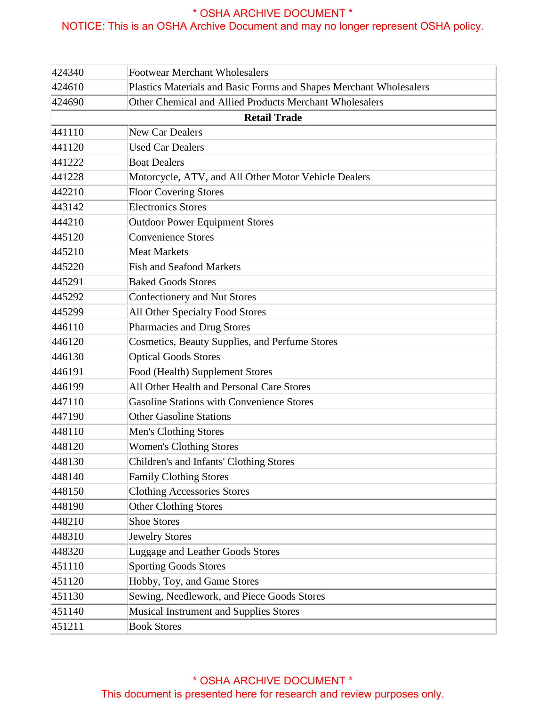| 424340 | <b>Footwear Merchant Wholesalers</b>                               |
|--------|--------------------------------------------------------------------|
| 424610 | Plastics Materials and Basic Forms and Shapes Merchant Wholesalers |
| 424690 | Other Chemical and Allied Products Merchant Wholesalers            |
|        | <b>Retail Trade</b>                                                |
| 441110 | New Car Dealers                                                    |
| 441120 | <b>Used Car Dealers</b>                                            |
| 441222 | <b>Boat Dealers</b>                                                |
| 441228 | Motorcycle, ATV, and All Other Motor Vehicle Dealers               |
| 442210 | <b>Floor Covering Stores</b>                                       |
| 443142 | <b>Electronics Stores</b>                                          |
| 444210 | Outdoor Power Equipment Stores                                     |
| 445120 | Convenience Stores                                                 |
| 445210 | <b>Meat Markets</b>                                                |
| 445220 | <b>Fish and Seafood Markets</b>                                    |
| 445291 | <b>Baked Goods Stores</b>                                          |
| 445292 | Confectionery and Nut Stores                                       |
| 445299 | All Other Specialty Food Stores                                    |
| 446110 | Pharmacies and Drug Stores                                         |
| 446120 | Cosmetics, Beauty Supplies, and Perfume Stores                     |
| 446130 | <b>Optical Goods Stores</b>                                        |
| 446191 | Food (Health) Supplement Stores                                    |
| 446199 | All Other Health and Personal Care Stores                          |
| 447110 | Gasoline Stations with Convenience Stores                          |
| 447190 | <b>Other Gasoline Stations</b>                                     |
| 448110 | Men's Clothing Stores                                              |
| 448120 | <b>Women's Clothing Stores</b>                                     |
| 448130 | Children's and Infants' Clothing Stores                            |
| 448140 | <b>Family Clothing Stores</b>                                      |
| 448150 | <b>Clothing Accessories Stores</b>                                 |
| 448190 | Other Clothing Stores                                              |
| 448210 | Shoe Stores                                                        |
| 448310 | <b>Jewelry Stores</b>                                              |
| 448320 | Luggage and Leather Goods Stores                                   |
| 451110 | <b>Sporting Goods Stores</b>                                       |
| 451120 | Hobby, Toy, and Game Stores                                        |
| 451130 | Sewing, Needlework, and Piece Goods Stores                         |
| 451140 | Musical Instrument and Supplies Stores                             |
| 451211 | <b>Book Stores</b>                                                 |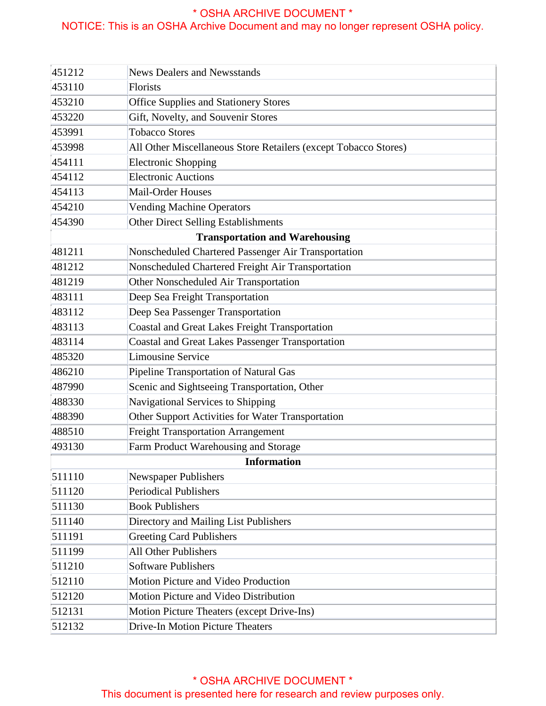| 451212 | <b>News Dealers and Newsstands</b>                              |
|--------|-----------------------------------------------------------------|
| 453110 | Florists                                                        |
| 453210 | <b>Office Supplies and Stationery Stores</b>                    |
| 453220 | Gift, Novelty, and Souvenir Stores                              |
| 453991 | <b>Tobacco Stores</b>                                           |
| 453998 | All Other Miscellaneous Store Retailers (except Tobacco Stores) |
| 454111 | <b>Electronic Shopping</b>                                      |
| 454112 | <b>Electronic Auctions</b>                                      |
| 454113 | Mail-Order Houses                                               |
| 454210 | <b>Vending Machine Operators</b>                                |
| 454390 | Other Direct Selling Establishments                             |
|        | <b>Transportation and Warehousing</b>                           |
| 481211 | Nonscheduled Chartered Passenger Air Transportation             |
| 481212 | Nonscheduled Chartered Freight Air Transportation               |
| 481219 | Other Nonscheduled Air Transportation                           |
| 483111 | Deep Sea Freight Transportation                                 |
| 483112 | Deep Sea Passenger Transportation                               |
| 483113 | Coastal and Great Lakes Freight Transportation                  |
| 483114 | <b>Coastal and Great Lakes Passenger Transportation</b>         |
| 485320 | Limousine Service                                               |
| 486210 | Pipeline Transportation of Natural Gas                          |
| 487990 | Scenic and Sightseeing Transportation, Other                    |
| 488330 | Navigational Services to Shipping                               |
| 488390 | Other Support Activities for Water Transportation               |
| 488510 | <b>Freight Transportation Arrangement</b>                       |
| 493130 | Farm Product Warehousing and Storage                            |
|        | <b>Information</b>                                              |
| 511110 | Newspaper Publishers                                            |
| 511120 | Periodical Publishers                                           |
| 511130 | <b>Book Publishers</b>                                          |
| 511140 | Directory and Mailing List Publishers                           |
| 511191 | <b>Greeting Card Publishers</b>                                 |
| 511199 | <b>All Other Publishers</b>                                     |
| 511210 | <b>Software Publishers</b>                                      |
| 512110 | Motion Picture and Video Production                             |
| 512120 | Motion Picture and Video Distribution                           |
| 512131 | Motion Picture Theaters (except Drive-Ins)                      |
| 512132 | <b>Drive-In Motion Picture Theaters</b>                         |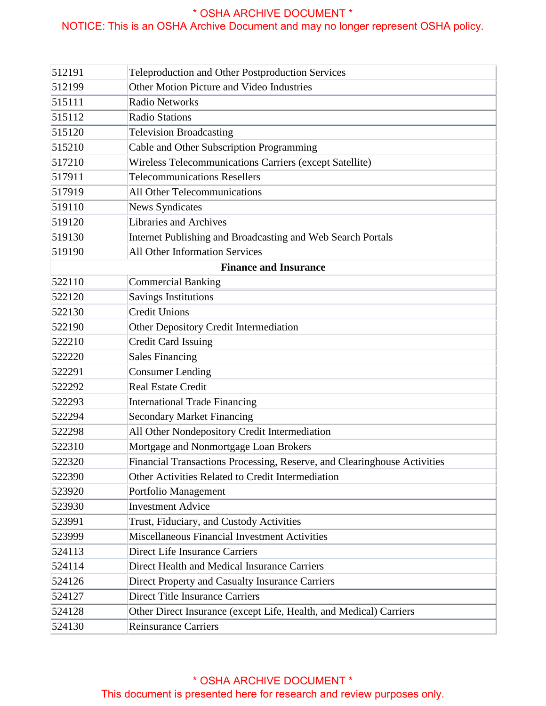| 512191                       | Teleproduction and Other Postproduction Services                         |  |
|------------------------------|--------------------------------------------------------------------------|--|
| 512199                       | Other Motion Picture and Video Industries                                |  |
| 515111                       | <b>Radio Networks</b>                                                    |  |
| 515112                       | <b>Radio Stations</b>                                                    |  |
| 515120                       | <b>Television Broadcasting</b>                                           |  |
| 515210                       | Cable and Other Subscription Programming                                 |  |
| 517210                       | Wireless Telecommunications Carriers (except Satellite)                  |  |
| 517911                       | <b>Telecommunications Resellers</b>                                      |  |
| 517919                       | <b>All Other Telecommunications</b>                                      |  |
| 519110                       | <b>News Syndicates</b>                                                   |  |
| 519120                       | Libraries and Archives                                                   |  |
| 519130                       | Internet Publishing and Broadcasting and Web Search Portals              |  |
| 519190                       | <b>All Other Information Services</b>                                    |  |
| <b>Finance and Insurance</b> |                                                                          |  |
| 522110                       | <b>Commercial Banking</b>                                                |  |
| 522120                       | <b>Savings Institutions</b>                                              |  |
| 522130                       | <b>Credit Unions</b>                                                     |  |
| 522190                       | Other Depository Credit Intermediation                                   |  |
| 522210                       | <b>Credit Card Issuing</b>                                               |  |
| 522220                       | Sales Financing                                                          |  |
| 522291                       | <b>Consumer Lending</b>                                                  |  |
| 522292                       | <b>Real Estate Credit</b>                                                |  |
| 522293                       | <b>International Trade Financing</b>                                     |  |
| 522294                       | <b>Secondary Market Financing</b>                                        |  |
| 522298                       | All Other Nondepository Credit Intermediation                            |  |
| 522310                       | Mortgage and Nonmortgage Loan Brokers                                    |  |
| 522320                       | Financial Transactions Processing, Reserve, and Clearinghouse Activities |  |
| 522390                       | Other Activities Related to Credit Intermediation                        |  |
| 523920                       | Portfolio Management                                                     |  |
| 523930                       | <b>Investment Advice</b>                                                 |  |
| 523991                       | Trust, Fiduciary, and Custody Activities                                 |  |
| 523999                       | Miscellaneous Financial Investment Activities                            |  |
| 524113                       | <b>Direct Life Insurance Carriers</b>                                    |  |
| 524114                       | Direct Health and Medical Insurance Carriers                             |  |
| 524126                       | Direct Property and Casualty Insurance Carriers                          |  |
| 524127                       | <b>Direct Title Insurance Carriers</b>                                   |  |
| 524128                       | Other Direct Insurance (except Life, Health, and Medical) Carriers       |  |
| 524130                       | <b>Reinsurance Carriers</b>                                              |  |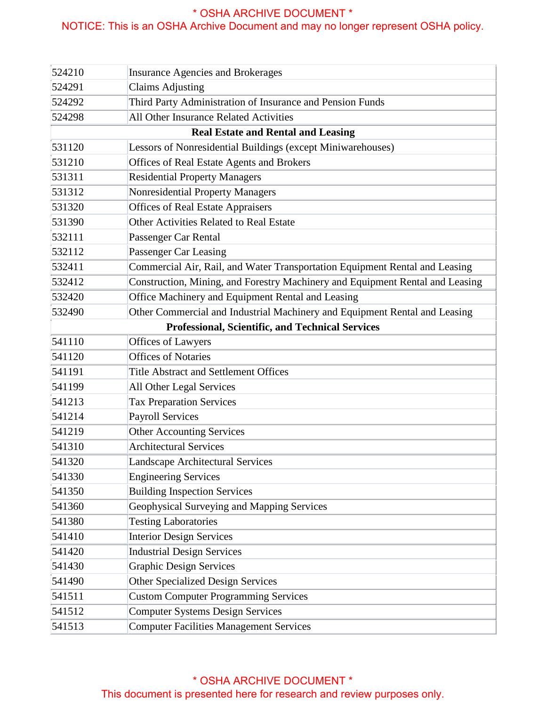| 524210                                           | <b>Insurance Agencies and Brokerages</b>                                      |  |
|--------------------------------------------------|-------------------------------------------------------------------------------|--|
| 524291                                           | <b>Claims Adjusting</b>                                                       |  |
| 524292                                           | Third Party Administration of Insurance and Pension Funds                     |  |
| 524298                                           | All Other Insurance Related Activities                                        |  |
|                                                  | <b>Real Estate and Rental and Leasing</b>                                     |  |
| 531120                                           | Lessors of Nonresidential Buildings (except Miniwarehouses)                   |  |
| 531210                                           | Offices of Real Estate Agents and Brokers                                     |  |
| 531311                                           | <b>Residential Property Managers</b>                                          |  |
| 531312                                           | Nonresidential Property Managers                                              |  |
| 531320                                           | <b>Offices of Real Estate Appraisers</b>                                      |  |
| 531390                                           | Other Activities Related to Real Estate                                       |  |
| 532111                                           | Passenger Car Rental                                                          |  |
| 532112                                           | Passenger Car Leasing                                                         |  |
| 532411                                           | Commercial Air, Rail, and Water Transportation Equipment Rental and Leasing   |  |
| 532412                                           | Construction, Mining, and Forestry Machinery and Equipment Rental and Leasing |  |
| 532420                                           | Office Machinery and Equipment Rental and Leasing                             |  |
| 532490                                           | Other Commercial and Industrial Machinery and Equipment Rental and Leasing    |  |
| Professional, Scientific, and Technical Services |                                                                               |  |
| 541110                                           | Offices of Lawyers                                                            |  |
| 541120                                           | <b>Offices of Notaries</b>                                                    |  |
| 541191                                           | <b>Title Abstract and Settlement Offices</b>                                  |  |
| 541199                                           | All Other Legal Services                                                      |  |
| 541213                                           | <b>Tax Preparation Services</b>                                               |  |
| 541214                                           | Payroll Services                                                              |  |
| 541219                                           | Other Accounting Services                                                     |  |
| 541310                                           | <b>Architectural Services</b>                                                 |  |
| 541320                                           | <b>Landscape Architectural Services</b>                                       |  |
| 541330                                           | <b>Engineering Services</b>                                                   |  |
| 541350                                           | <b>Building Inspection Services</b>                                           |  |
| 541360                                           | Geophysical Surveying and Mapping Services                                    |  |
| 541380                                           | <b>Testing Laboratories</b>                                                   |  |
| 541410                                           | <b>Interior Design Services</b>                                               |  |
| 541420                                           | <b>Industrial Design Services</b>                                             |  |
| 541430                                           | <b>Graphic Design Services</b>                                                |  |
| 541490                                           | Other Specialized Design Services                                             |  |
| 541511                                           | <b>Custom Computer Programming Services</b>                                   |  |
| 541512                                           | Computer Systems Design Services                                              |  |
| 541513                                           | <b>Computer Facilities Management Services</b>                                |  |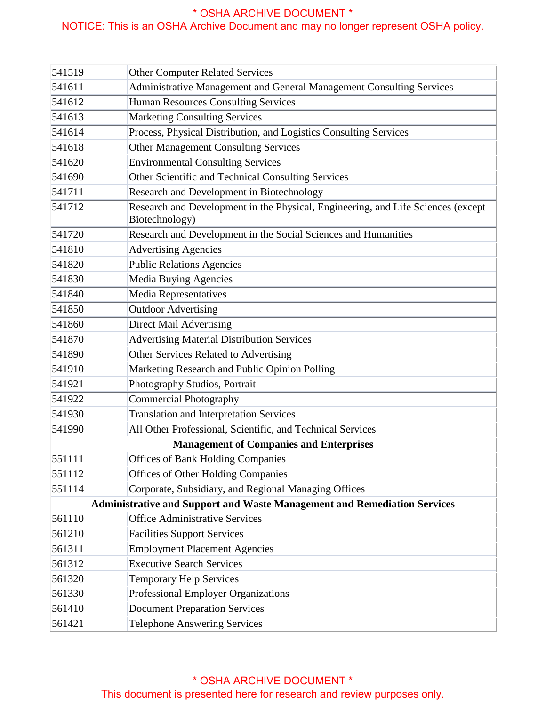| 541519 | <b>Other Computer Related Services</b>                                                             |
|--------|----------------------------------------------------------------------------------------------------|
| 541611 | Administrative Management and General Management Consulting Services                               |
| 541612 | Human Resources Consulting Services                                                                |
| 541613 | <b>Marketing Consulting Services</b>                                                               |
| 541614 | Process, Physical Distribution, and Logistics Consulting Services                                  |
| 541618 | <b>Other Management Consulting Services</b>                                                        |
| 541620 | <b>Environmental Consulting Services</b>                                                           |
| 541690 | Other Scientific and Technical Consulting Services                                                 |
| 541711 | Research and Development in Biotechnology                                                          |
| 541712 | Research and Development in the Physical, Engineering, and Life Sciences (except<br>Biotechnology) |
| 541720 | Research and Development in the Social Sciences and Humanities                                     |
| 541810 | <b>Advertising Agencies</b>                                                                        |
| 541820 | <b>Public Relations Agencies</b>                                                                   |
| 541830 | Media Buying Agencies                                                                              |
| 541840 | Media Representatives                                                                              |
| 541850 | <b>Outdoor Advertising</b>                                                                         |
| 541860 | <b>Direct Mail Advertising</b>                                                                     |
| 541870 | <b>Advertising Material Distribution Services</b>                                                  |
| 541890 | Other Services Related to Advertising                                                              |
| 541910 | Marketing Research and Public Opinion Polling                                                      |
| 541921 | Photography Studios, Portrait                                                                      |
| 541922 | <b>Commercial Photography</b>                                                                      |
| 541930 | <b>Translation and Interpretation Services</b>                                                     |
| 541990 | All Other Professional, Scientific, and Technical Services                                         |
|        | <b>Management of Companies and Enterprises</b>                                                     |
| 551111 | <b>Offices of Bank Holding Companies</b>                                                           |
| 551112 | <b>Offices of Other Holding Companies</b>                                                          |
| 551114 | Corporate, Subsidiary, and Regional Managing Offices                                               |
|        | <b>Administrative and Support and Waste Management and Remediation Services</b>                    |
| 561110 | <b>Office Administrative Services</b>                                                              |
| 561210 | <b>Facilities Support Services</b>                                                                 |
| 561311 | <b>Employment Placement Agencies</b>                                                               |
| 561312 | <b>Executive Search Services</b>                                                                   |
| 561320 | <b>Temporary Help Services</b>                                                                     |
| 561330 | <b>Professional Employer Organizations</b>                                                         |
| 561410 | <b>Document Preparation Services</b>                                                               |
| 561421 | <b>Telephone Answering Services</b>                                                                |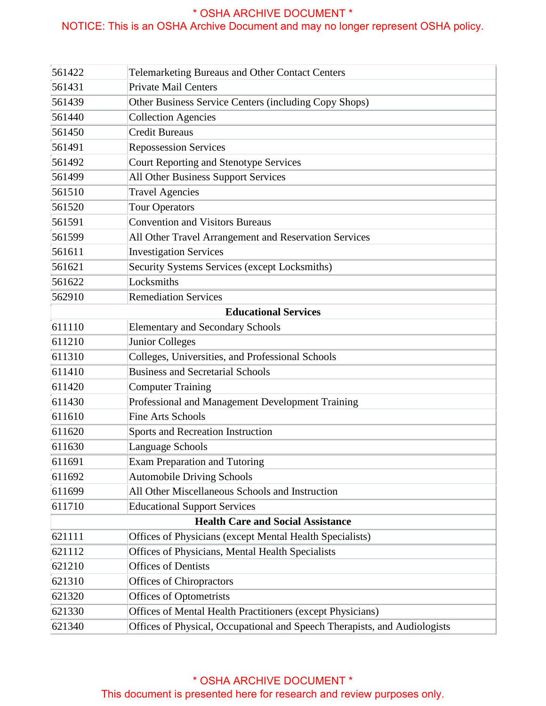| 561422                                   | <b>Telemarketing Bureaus and Other Contact Centers</b>                    |  |
|------------------------------------------|---------------------------------------------------------------------------|--|
| 561431                                   | Private Mail Centers                                                      |  |
| 561439                                   | Other Business Service Centers (including Copy Shops)                     |  |
| 561440                                   | <b>Collection Agencies</b>                                                |  |
| 561450                                   | <b>Credit Bureaus</b>                                                     |  |
| 561491                                   | <b>Repossession Services</b>                                              |  |
| 561492                                   | Court Reporting and Stenotype Services                                    |  |
| 561499                                   | All Other Business Support Services                                       |  |
| 561510                                   | <b>Travel Agencies</b>                                                    |  |
| 561520                                   | <b>Tour Operators</b>                                                     |  |
| 561591                                   | <b>Convention and Visitors Bureaus</b>                                    |  |
| 561599                                   | All Other Travel Arrangement and Reservation Services                     |  |
| 561611                                   | <b>Investigation Services</b>                                             |  |
| 561621                                   | Security Systems Services (except Locksmiths)                             |  |
| 561622                                   | Locksmiths                                                                |  |
| 562910                                   | <b>Remediation Services</b>                                               |  |
| <b>Educational Services</b>              |                                                                           |  |
| 611110                                   | <b>Elementary and Secondary Schools</b>                                   |  |
| 611210                                   | Junior Colleges                                                           |  |
| 611310                                   | Colleges, Universities, and Professional Schools                          |  |
| 611410                                   | <b>Business and Secretarial Schools</b>                                   |  |
| 611420                                   | <b>Computer Training</b>                                                  |  |
| 611430                                   | Professional and Management Development Training                          |  |
| 611610                                   | <b>Fine Arts Schools</b>                                                  |  |
| 611620                                   | Sports and Recreation Instruction                                         |  |
| 611630                                   | Language Schools                                                          |  |
| 611691                                   | Exam Preparation and Tutoring                                             |  |
| 611692                                   | <b>Automobile Driving Schools</b>                                         |  |
| 611699                                   | All Other Miscellaneous Schools and Instruction                           |  |
| 611710                                   | <b>Educational Support Services</b>                                       |  |
| <b>Health Care and Social Assistance</b> |                                                                           |  |
| 621111                                   | Offices of Physicians (except Mental Health Specialists)                  |  |
| 621112                                   | Offices of Physicians, Mental Health Specialists                          |  |
| 621210                                   | <b>Offices of Dentists</b>                                                |  |
| 621310                                   | Offices of Chiropractors                                                  |  |
| 621320                                   | Offices of Optometrists                                                   |  |
| 621330                                   | Offices of Mental Health Practitioners (except Physicians)                |  |
| 621340                                   | Offices of Physical, Occupational and Speech Therapists, and Audiologists |  |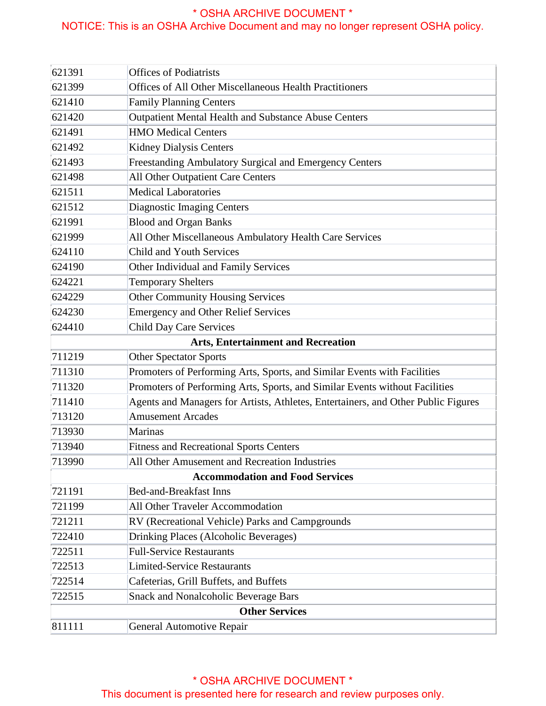## NOTICE: This is an OSHA Archive Document and may no longer represent OSHA policy.

| 621391                                    | <b>Offices of Podiatrists</b>                                                     |  |
|-------------------------------------------|-----------------------------------------------------------------------------------|--|
| 621399                                    | Offices of All Other Miscellaneous Health Practitioners                           |  |
| 621410                                    | <b>Family Planning Centers</b>                                                    |  |
| 621420                                    | Outpatient Mental Health and Substance Abuse Centers                              |  |
| 621491                                    | <b>HMO</b> Medical Centers                                                        |  |
| 621492                                    | Kidney Dialysis Centers                                                           |  |
| 621493                                    | Freestanding Ambulatory Surgical and Emergency Centers                            |  |
| 621498                                    | All Other Outpatient Care Centers                                                 |  |
| 621511                                    | <b>Medical Laboratories</b>                                                       |  |
| 621512                                    | <b>Diagnostic Imaging Centers</b>                                                 |  |
| 621991                                    | <b>Blood and Organ Banks</b>                                                      |  |
| 621999                                    | All Other Miscellaneous Ambulatory Health Care Services                           |  |
| 624110                                    | Child and Youth Services                                                          |  |
| 624190                                    | Other Individual and Family Services                                              |  |
| 624221                                    | <b>Temporary Shelters</b>                                                         |  |
| 624229                                    | <b>Other Community Housing Services</b>                                           |  |
| 624230                                    | <b>Emergency and Other Relief Services</b>                                        |  |
| 624410                                    | <b>Child Day Care Services</b>                                                    |  |
| <b>Arts, Entertainment and Recreation</b> |                                                                                   |  |
| 711219                                    | <b>Other Spectator Sports</b>                                                     |  |
| 711310                                    | Promoters of Performing Arts, Sports, and Similar Events with Facilities          |  |
| 711320                                    | Promoters of Performing Arts, Sports, and Similar Events without Facilities       |  |
| 711410                                    | Agents and Managers for Artists, Athletes, Entertainers, and Other Public Figures |  |
| 713120                                    | <b>Amusement Arcades</b>                                                          |  |
| 713930                                    | Marinas                                                                           |  |
| 713940                                    | <b>Fitness and Recreational Sports Centers</b>                                    |  |
| 713990                                    | All Other Amusement and Recreation Industries                                     |  |
| <b>Accommodation and Food Services</b>    |                                                                                   |  |
| 721191                                    | <b>Bed-and-Breakfast Inns</b>                                                     |  |
| 721199                                    | <b>All Other Traveler Accommodation</b>                                           |  |
| 721211                                    | RV (Recreational Vehicle) Parks and Campgrounds                                   |  |
| 722410                                    | Drinking Places (Alcoholic Beverages)                                             |  |
| 722511                                    | <b>Full-Service Restaurants</b>                                                   |  |
| 722513                                    | <b>Limited-Service Restaurants</b>                                                |  |
| 722514                                    | Cafeterias, Grill Buffets, and Buffets                                            |  |
| 722515                                    | <b>Snack and Nonalcoholic Beverage Bars</b>                                       |  |
| <b>Other Services</b>                     |                                                                                   |  |
| 811111                                    | General Automotive Repair                                                         |  |

#### \* OSHA ARCHIVE DOCUMENT \* This document is presented here for research and review purposes only.